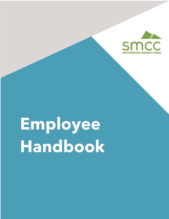

# **Employee Handbook**

l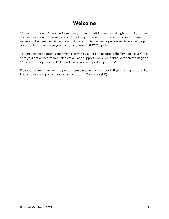## **Welcome**

Welcome to South Mountain Community Church (SMCC)! We are delighted that you have chosen to join our organization and hope that you will enjoy a long and successful career with us. As you become familiar with our culture and mission, we hope you will take advantage of opportunities to enhance your career and further SMCC's goals.

You are joining an organization that is driven by a passion to spread the fame of Jesus Christ. With your active involvement, dedication, and support, SMCC will continue to achieve its goals. We sincerely hope you will take pride in being an important part of SMCC.

Please take time to review the policies contained in this handbook. If you have questions, feel free to ask your supervisor or to contact Human Resources (HR).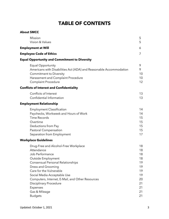# **TABLE OF CONTENTS**

#### **About SMCC**

| Mission<br>Vision & Values                                                                                                                                                                                                                                                                                                         | 5<br>5                                                                                                                                                                                                                                              |
|------------------------------------------------------------------------------------------------------------------------------------------------------------------------------------------------------------------------------------------------------------------------------------------------------------------------------------|-----------------------------------------------------------------------------------------------------------------------------------------------------------------------------------------------------------------------------------------------------|
|                                                                                                                                                                                                                                                                                                                                    | 6                                                                                                                                                                                                                                                   |
|                                                                                                                                                                                                                                                                                                                                    | 7                                                                                                                                                                                                                                                   |
|                                                                                                                                                                                                                                                                                                                                    |                                                                                                                                                                                                                                                     |
| <b>Equal Opportunity</b><br>Americans with Disabilities Act (ADA) and Reasonable Accommodation<br><b>Commitment to Diversity</b><br>Harassment and Complaint Procedure<br><b>Complaint Procedure</b>                                                                                                                               | 9<br>9<br>10<br>10<br>12                                                                                                                                                                                                                            |
|                                                                                                                                                                                                                                                                                                                                    |                                                                                                                                                                                                                                                     |
| Conflicts of Interest<br>Confidential Information                                                                                                                                                                                                                                                                                  | 13<br>13                                                                                                                                                                                                                                            |
|                                                                                                                                                                                                                                                                                                                                    |                                                                                                                                                                                                                                                     |
| <b>Employment Classification</b><br>Paychecks, Workweek and Hours of Work<br><b>Time Records</b><br>Overtime<br>Deductions from Pay<br><b>Pastoral Compensation</b><br>Separation from Employment                                                                                                                                  | 14<br>14<br>15<br>15<br>15<br>15<br>17                                                                                                                                                                                                              |
|                                                                                                                                                                                                                                                                                                                                    |                                                                                                                                                                                                                                                     |
| Drug-Free and Alcohol-Free Workplace<br>Attendance<br>Job Performance<br>Outside Employment<br>Consensual Personal Relationships<br>Dress and Grooming<br>Care for the Vulnerable<br>Social Media Acceptable Use<br>Computers, Internet, E-Mail, and Other Resources<br><b>Disciplinary Procedure</b><br>Expenses<br>Gas & Mileage | 18<br>18<br>18<br>18<br>19<br>19<br>19<br>19<br>20<br>21<br>21<br>21<br>21                                                                                                                                                                          |
|                                                                                                                                                                                                                                                                                                                                    | Employment at Will<br><b>Employee Code of Ethics</b><br><b>Equal Opportunity and Commitment to Diversity</b><br><b>Conflicts of Interest and Confidentiality</b><br><b>Employment Relationship</b><br><b>Workplace Guidelines</b><br><b>Budgets</b> |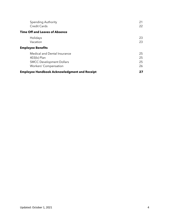| <b>Spending Authority</b>                           | 21 |
|-----------------------------------------------------|----|
| Credit Cards                                        | 22 |
| <b>Time Off and Leaves of Absence</b>               |    |
| Holidays                                            | 23 |
| Vacation                                            | 23 |
| <b>Employee Benefits</b>                            |    |
| Medical and Dental Insurance                        | 25 |
| 403(b) Plan                                         | 25 |
| <b>SMCC Development Dollars</b>                     | 25 |
| <b>Workers' Compensation</b>                        | 26 |
| <b>Employee Handbook Acknowledgment and Receipt</b> | 27 |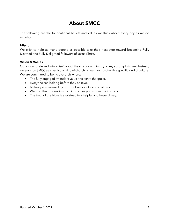# **About SMCC**

The following are the foundational beliefs and values we think about every day as we do ministry.

## **Mission**

We exist to help as many people as possible take their next step toward becoming Fully Devoted and Fully Delighted followers of Jesus Christ.

## **Vision & Values**

Our vision (preferred future) isn't about the size of our ministry or any accomplishment. Instead, we envision SMCC as a particular kind of church; a healthy church with a specific kind of culture. We are committed to being a church where:

- The fully engaged attenders value and serve the guest.
- Everyone can belong before they believe.
- Maturity is measured by how well we love God and others.
- We trust the process in which God changes us from the inside out.
- The truth of the bible is explained in a helpful and hopeful way.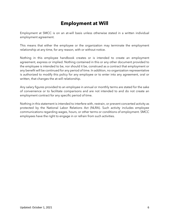# **Employment at Will**

Employment at SMCC is on an at-will basis unless otherwise stated in a written individual employment agreement.

This means that either the employee or the organization may terminate the employment relationship at any time, for any reason, with or without notice.

Nothing in this employee handbook creates or is intended to create an employment agreement, express or implied. Nothing contained in this or any other document provided to the employee is intended to be, nor should it be, construed as a contract that employment or any benefit will be continued for any period of time. In addition, no organization representative is authorized to modify this policy for any employee or to enter into any agreement, oral or written, that changes the at-will relationship.

Any salary figures provided to an employee in annual or monthly terms are stated for the sake of convenience or to facilitate comparisons and are not intended to and do not create an employment contract for any specific period of time.

Nothing in this statement is intended to interfere with, restrain, or prevent concerted activity as protected by the National Labor Relations Act (NLRA). Such activity includes employee communications regarding wages, hours, or other terms or conditions of employment. SMCC employees have the right to engage in or refrain from such activities.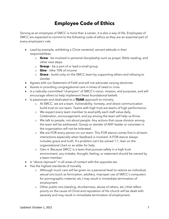# **Employee Code of Ethics**

Serving as an employee of SMCC is more than a career, it is also a way of life. Employees of SMCC are expected to commit to the following code of ethics as they are an essential part of every employee's role.

- Lead by example, exhibiting a Christ centered, servant attitude in their responsibilities.
	- o **Grow** be involved in personal discipleship such as prayer, Bible reading, and other next steps.
	- o **Group** be a part of or lead a small group
	- o **Give** tithe 10% of income
	- o **Grace** build unity on the SMCC team by supporting others and refusing to slander
- Agrees with our Statement of Faith and will not advocate varying doctrines
- Assists in providing congregational care in times of need or crisis
- Is a radically committed "champion" of SMCC's vision, mission, and purposes, and will encourage others to help implement these foundational beliefs
- Is passionate and dedicated to a **TEAM** approach to ministry.
	- o At SMCC, we are a team. Vulnerability, honesty, and direct communication build trust on our team. Teams with high trust are teams of high performance.
	- o We expect every team member to exemplify each staff value daily. Celebration, encouragement, and joy among the team will help us thrive.
	- o We talk to people, not about people. Any actions that cause division among the team will be addressed. Gossip or slander of ANY leader or volunteer in the organization will not be tolerated.
	- o We are FOR every person on our team. This FOR stance comes first in all team interactions especially when feedback is involved. A FOR stance always includes grace and truth. If a problem can't be solved 1:1, lean on the organizational chart or an elder for help.
	- o Own it. Because SMCC is a team that pursues safety in a high trust environment, any mistake, thought, feeling, or statement should be owned by a team member.
- Is "above reproach" in all areas of contact with the opposite sex
- Has the highest standards of morality
	- o Although much care will be given on a personal level to restore an individual, sexual sins (such as fornication, adultery, improper use of SMCC's computers for pornographic material, etc.) may result in immediate termination of employment
	- o Other public sins (stealing, drunkenness, abuse of others, etc.) that reflect poorly on the cause of Christ and reputation of His church will be dealt with severely and may result in immediate termination of employment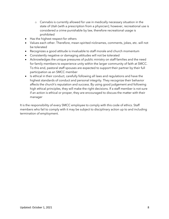- o Cannabis is currently allowed for use in medically necessary situation in the state of Utah (with a prescription from a physician); however, recreational use is considered a crime punishable by law, therefore recreational usage is prohibited
- Has the highest respect for others
- Values each other. Therefore, mean-spirited nicknames, comments, jokes, etc. will not be tolerated
- Recognizes a good attitude is invaluable to staff morale and church momentum
- Consistently negative or damaging attitudes will not be tolerated
- Acknowledges the unique pressures of public ministry on staff families and the need for family members to experience unity within the larger community of faith at SMCC. To this end, pastoral staff spouses are expected to support their partner by their full participation as an SMCC member
- Is ethical in their conduct, carefully following all laws and regulations and have the highest standards of conduct and personal integrity. They recognize their behavior affects the church's reputation and success. By using good judgement and following high ethical principles, they will make the right decisions. If a staff member is not sure if an action is ethical or proper, they are encouraged to discuss the matter with their manager

It is the responsibility of every SMCC employee to comply with this code of ethics. Staff members who fail to comply with it may be subject to disciplinary action up to and including termination of employment.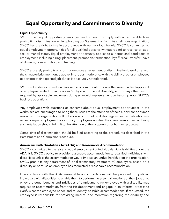# **Equal Opportunity and Commitment to Diversity**

#### **Equal Opportunity**

SMCC is an equal opportunity employer and strives to comply with all applicable laws prohibiting discrimination while upholding our Statement of Faith. As a religious organization, SMCC has the right to hire in accordance with our religious beliefs. SMCC is committed to equal employment opportunities for all qualified persons, without regard to race, color, age, sex, or marital status. Equal employment opportunity applies to all terms and conditions of employment, including hiring, placement, promotion, termination, layoff, recall, transfer, leave of absence, compensation, and training.

SMCC expressly prohibits any form of employee harassment or discrimination based on any of the characteristics mentioned above. Improper interference with the ability of other employees to perform their expected job duties is absolutely not tolerated.

SMCC will endeavor to make a reasonable accommodation of an otherwise qualified applicant or employee related to an individual's physical or mental disability, and/or any other reason required by applicable law, unless doing so would impose an undue hardship upon SMCC's business operations.

Any employees with questions or concerns about equal employment opportunities in the workplace are encouraged to bring these issues to the attention of their supervisor or human resources. The organization will not allow any form of retaliation against individuals who raise issues of equal employment opportunity. Employees who feel they have been subjected to any such retaliation should bring it to the attention of their supervisor or human resources.

Complaints of discrimination should be filed according to the procedures described in the Harassment and Complaint Procedure.

#### **Americans with Disabilities Act (ADA) and Reasonable Accommodation**

SMCC is committed to the fair and equal employment of individuals with disabilities under the ADA. It is SMCC's policy to provide reasonable accommodation to qualified individuals with disabilities unless the accommodation would impose an undue hardship on the organization. SMCC prohibits any harassment of, or discriminatory treatment of, employees based on a disability or because an employee has requested a reasonable accommodation.

In accordance with the ADA, reasonable accommodations will be provided to qualified individuals with disabilities to enable them to perform the essential functions of their jobs or to enjoy the equal benefits and privileges of employment. An employee with a disability may request an accommodation from the HR department and engage in an informal process to clarify what the employee needs and to identify possible accommodations. If requested, the employee is responsible for providing medical documentation regarding the disability and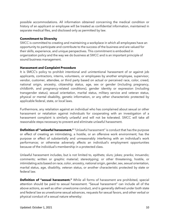possible accommodations. All information obtained concerning the medical condition or history of an applicant or employee will be treated as confidential information, maintained in separate medical files, and disclosed only as permitted by law.

#### **Commitment to Diversity**

SMCC is committed to creating and maintaining a workplace in which all employees have an opportunity to participate and contribute to the success of the business and are valued for their skills, experience, and unique perspectives. This commitment is embodied in organization policy and the way we do business at SMCC and is an important principle of sound business management.

#### **Harassment and Complaint Procedure**

It is SMCC's policy to prohibit intentional and unintentional harassment of or against job applicants, contractors, interns, volunteers, or employees by another employee, supervisor, vendor, customer, attendee, or third party based on actual or perceived race, color, creed, national origin, ancestry, citizenship status, age, sex or gender (including pregnancy, childbirth, and pregnancy-related conditions), gender identity or expression (including transgender status), sexual orientation, marital status, military service and veteran status, physical or mental disability, genetic information, or any other characteristic protected by applicable federal, state, or local laws.

Furthermore, any retaliation against an individual who has complained about sexual or other harassment or retaliation against individuals for cooperating with an investigation of a harassment complaint is similarly unlawful and will not be tolerated. SMCC will take all reasonable steps necessary to prevent and eliminate unlawful harassment.

**Definition of "unlawful harassment."** "Unlawful harassment" is conduct that has the purpose or effect of creating an intimidating, a hostile, or an offensive work environment; has the purpose or effect of substantially and unreasonably interfering with an individual's work performance; or otherwise adversely affects an individual's employment opportunities because of the individual's membership in a protected class.

Unlawful harassment includes, but is not limited to, epithets; slurs; jokes; pranks; innuendo; comments; written or graphic material; stereotyping; or other threatening, hostile, or intimidating acts based on race, color, ancestry, national origin, gender, sex, sexual orientation, marital status, age, disability, veteran status, or another characteristic protected by state or federal law.

**Definition of "sexual harassment."** While all forms of harassment are prohibited, special attention should be paid to sexual harassment. "Sexual harassment" can include all of the above actions, as well as other unwelcome conduct, and is generally defined under both state and federal law as unwelcome sexual advances, requests for sexual favors, and other verbal or physical conduct of a sexual nature whereby: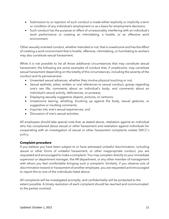- Submission to or rejection of such conduct is made either explicitly or implicitly a term or condition of any individual's employment or as a basis for employment decisions.
- Such conduct has the purpose or effect of unreasonably interfering with an individual's work performance or creating an intimidating, a hostile, or an offensive work environment.

Other sexually oriented conduct, whether intended or not, that is unwelcome and has the effect of creating a work environment that is hostile, offensive, intimidating, or humiliating to workers may also constitute sexual harassment.

While it is not possible to list all those additional circumstances that may constitute sexual harassment, the following are some examples of conduct that, if unwelcome, may constitute sexual harassment depending on the totality of the circumstances, including the severity of the conduct and its pervasiveness:

- Unwanted sexual advances, whether they involve physical touching or not;
- Sexual epithets; jokes; written or oral references to sexual conduct; gossip regarding one's sex life; comments about an individual's body; and comments about an individual's sexual activity, deficiencies, or prowess;
- Displaying sexually suggestive objects, pictures, or cartoons;
- Unwelcome leering, whistling, brushing up against the body, sexual gestures, or suggestive or insulting comments;
- Inquiries into one's sexual experiences; *and*
- Discussion of one's sexual activities.

All employees should take special note that, as stated above, retaliation against an individual who has complained about sexual or other harassment and retaliation against individuals for cooperating with an investigation of sexual or other harassment complaints violate SMCC's policy.

### **Complaint procedure**

If you believe you have been subject to or have witnessed unlawful discrimination, including sexual or other forms of unlawful harassment, or other inappropriate conduct, you are requested and encouraged to make a complaint. You may complain directly to your immediate supervisor or department manager, the HR department, or any other member of management with whom you feel comfortable bringing such a complaint. Similarly, if you observe acts of discrimination toward or harassment of another employee, you are requested and encouraged to report this to one of the individuals listed above.

All complaints will be investigated promptly, and confidentiality will be protected to the extent possible. A timely resolution of each complaint should be reached and communicated to the parties involved.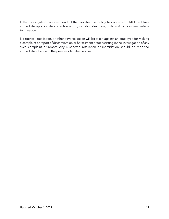If the investigation confirms conduct that violates this policy has occurred, SMCC will take immediate, appropriate, corrective action, including discipline, up to and including immediate termination.

No reprisal, retaliation, or other adverse action will be taken against an employee for making a complaint or report of discrimination or harassment or for assisting in the investigation of any such complaint or report. Any suspected retaliation or intimidation should be reported immediately to one of the persons identified above.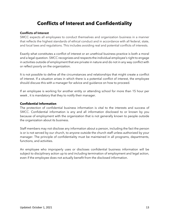# **Conflicts of Interest and Confidentiality**

#### **Conflicts of Interest**

SMCC expects all employees to conduct themselves and organization business in a manner that reflects the highest standards of ethical conduct and in accordance with all federal, state, and local laws and regulations. This includes avoiding real and potential conflicts of interests.

Exactly what constitutes a conflict of interest or an unethical business practice is both a moral and a legal question. SMCC recognizes and respects the individual employee's right to engage in activities outside of employment that are private in nature and do not in any way conflict with or reflect poorly on the organization.

It is not possible to define all the circumstances and relationships that might create a conflict of interest. If a situation arises in which there is a potential conflict of interest, the employee should discuss this with a manager for advice and guidance on how to proceed.

If an employee is working for another entity or attending school for more than 15 hour per week , it is mandatory that they to notify their manager.

#### **Confidential Information**

The protection of confidential business information is vital to the interests and success of SMCC. Confidential information is any and all information disclosed to or known by you because of employment with the organization that is not generally known to people outside the organization about its business.

Staff members may not disclose any information about a person, including the fact the person is or is not served by our church, to anyone outside the church staff unless authorized by your manager. The principle of confidentiality must be maintained in all programs, departments, functions, and activities.

An employee who improperly uses or discloses confidential business information will be subject to disciplinary action up to and including termination of employment and legal action, even if the employee does not actually benefit from the disclosed information.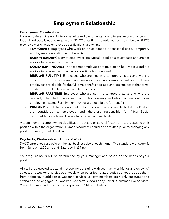# **Employment Relationship**

#### **Employment Classification**

In order to determine eligibility for benefits and overtime status and to ensure compliance with federal and state laws and regulations, SMCC classifies its employees as shown below. SMCC may review or change employee classifications at any time.

- **- TEMPORARY** Employees who work on an as needed or seasonal basis. Temporary employees are not eligible for benefits.
- **- EXEMPT (SALARY)** Exempt employees are typically paid on a salary basis and are not eligible to receive overtime pay.
- **- NONEXEMPT (HOURLY)** Nonexempt employees are paid on an hourly basis and are eligible to receive overtime pay for overtime hours worked.
- **- REGULAR FULL-TIME** Employees who are not in a temporary status and work a minimum of 30 hours weekly and maintain continuous employment status. These employees are eligible for the full-time benefits package and are subject to the terms, conditions, and limitations of each benefits program.
- **- REGULAR PART-TIME** Employees who are not in a temporary status and who are regularly scheduled to work less than 30 hours weekly and who maintain continuous employment status. Part-time employees are not eligible for benefits.
- **- PASTOR** Pastoral status is inherent to the position or may be an elected status. Pastors are considered self-employed and therefore responsible for filing Social Security/Medicare taxes. This is a fully benefited classification.

A team members employment classification is based on several factors directly related to their position within the organization. Human resources should be consulted prior to changing any positions employment classification.

### **Paychecks, Workweek and Hours of Work**

SMCC employees are paid on the last business day of each month. The standard workweek is from Sunday 12:00 a.m. until Saturday 11:59 p.m.

Your regular hours will be determined by your manager and based on the needs of your position.

All staff are expected to attend (not serving but sitting with your family or friends and enjoying) at least one weekend service each week when other job-related duties do not preclude them from doing so. In addition to weekend services, all staff members are highly encouraged to attend and be engaged in Baptisms, Concerts, Good Friday/Easter, Christmas Eve Services, Vision, funerals, and other similarly sponsored SMCC activities.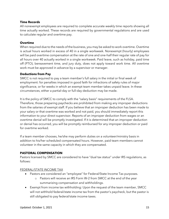## **Time Records**

All nonexempt employees are required to complete accurate weekly time reports showing all time actually worked. These records are required by governmental regulations and are used to calculate regular and overtime pay.

### **Overtime**

When required due to the needs of the business, you may be asked to work overtime. Overtime is actual hours worked in excess of 40 in a single workweek. Nonexempt (hourly) employees will be paid overtime compensation at the rate of one and one-half their regular rate of pay for all hours over 40 actually worked in a single workweek. Paid leave, such as holiday, paid time off (PTO), bereavement time, and jury duty, does not apply toward work time. All overtime work must be approved in advance by a supervisor or manager.

## **Deductions from Pay**

SMCC is not required to pay a team member's full salary in the initial or final week of employment: for penalties imposed in good faith for infractions of safety rules of major significance, or for weeks in which an exempt team member takes unpaid leave. In these circumstances, either a partial-day or full-day deduction may be made.

It is the policy of SMCC to comply with the "salary basis" requirements of the FLSA. Therefore, those preparing paychecks are prohibited from making any improper deductions from the salaries of exempt staff. If you believe that an improper deduction has been made to your salary or that overtime was worked and not paid, you should immediately report this information to your direct supervisor. Reports of an improper deduction from wages or an overtime denial will be promptly investigated. If it is determined that an improper deduction or denial has occurred, you will be promptly reimbursed for any improper deduction or paid for overtime worked.

If a team member chooses, he/she may perform duties on a volunteer/ministry basis in addition to his/her scheduled compensated hours. However, paid team members cannot volunteer in the same capacity in which they are compensated.

### **PASTORAL COMPENSATION**

Pastors licensed by SMCC are considered to have "dual tax status" under IRS regulations, as follows:

### FEDERAL/STATE INCOME TAX

- Pastors are considered an "employee" for Federal/State Income Tax purposes.
	- o Pastors will receive an IRS Form W-2 from SMCC at the end of the year summarizing compensation and withholdings.
- Exempt from income tax withholding: Upon the request of the team member, SMCC will not withhold federal/state income tax from the pastor's paycheck, but the pastor is still obligated to pay federal/state income taxes.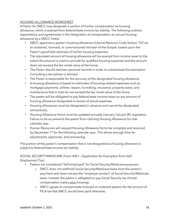## HOUSING ALLOWANCE WORKSHEET

A Pastor for SMCC may designate a portion of his/her compensation as housing allowance, which is exempt from federal/state income tax liability. The following outlines expectations and agreements in the designation of compensation as annual housing allowance by a SMCC Pastor.

- SMCC approves a pastor's housing allowance (Internal Revenue Code Section 107) as an ordained, licensed, or commissioned minister of the Gospel, based upon the Pastor's good faith estimate of his/her housing expenses.
- The stipulated amount of housing allowance will be exempt from income taxes to the extent the amount is used to provide for qualified housing expenses and the amount does not exceed the fair rental value of the home.
- The Pastor should maintain personal records in order to substantiate the exemption. Consulting a tax adviser is advised.
- The Pastor is responsible for the accuracy of the designated housing allowance.
- A housing allowance is based on estimates of housing-related expenses such as mortgage payments, utilities, repairs, furnishing, insurance, property taxes, and maintenance that in total do not exceed the fair rental value of the home.
- The pastor will be obligated to pay federal/state income taxes on any amount of housing allowance designated in excess of actual expenses.
- Housing allowances must be designated in advance and cannot be designated retroactively.
- Housing Allowance forms must be updated annually (January 1st) per IRS regulation. Failure to do so prevents the pastor from claiming Housing Allowance for that calendar year.
- Human Resources will request Housing Allowance forms be complete and returned by December 1<sup>st</sup> for the following calendar year. This allows enough time for adjustments, approvals, and processing.

The portion of the pastor's compensation that is not designated as housing allowance is subject to federal/state income tax liability.

SOCIAL SECURITY/MEDICARE (Form 4361 – Application for Exemption from Self-Employment Tax)

- Pastors are considered "Self-employed" for Social Security/Medicare purposes.
	- o SMCC does not withhold Social Security/Medicare taxes from the pastor's paycheck and does not pay the "employer portion" of Social Security/Medicare taxes. Instead, the pastor is obligated to pay Social Security tax of total compensation (salary plus housing).
	- o SMCC agrees to compenssate licensed or ordained pastors for the amount of FICA tax that SMCC would have paid otherwise.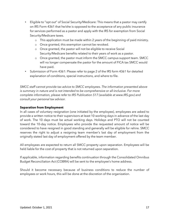- Eligible to "opt out" of Social Security/Medicare: This means that a pastor may certify on IRS Form 4361 that he/she is opposed to the acceptance of any public insurance for services performed as a pastor and apply with the IRS for exemption from Social Security/Medicare taxes.
	- o This application must be made within 2 years of the beginning of paid ministry.
	- o Once granted, this exemption cannot be revoked.
	- o Once granted, the pastor will not be eligible to receive Social Security/Medicare benefits related to their years of work as a pastor.
	- o Once granted, the pastor must inform the SMCC campus support team. SMCC will no longer compensate the pastor for the amount of FICA tax SMCC would have paid.
- Submission of Form 4361: Please refer to page 2 of the IRS form 4361 for detailed explanation of conditions, special instructions, and where to file.

*SMCC staff cannot provide tax advice to SMCC employees. The information presented above is summary in nature and is not intended to be comprehensive or all*-*inclusive. For more complete information, please refer to IRS Publication 517 (available at www.IRS.gov) and consult your personal tax advisor.*

## **Separation from Employment**

In all cases of voluntary resignation (one initiated by the employee), employees are asked to provide a written notice to their supervisors at least 10 working days in advance of the last day of work. The 10 days must be actual working days. Holidays and PTO will not be counted toward the 10-day notice. Employees who provide the requested amount of notice will be considered to have resigned in good standing and generally will be eligible for rehire. SMCC reserves the right to adjust a resigning team member's last day of employment from the originally stated last day of employment offered by the team member.

All employees are expected to return all SMCC property upon separation. Employees will be held liable for the cost of property that is not returned upon separation.

If applicable, information regarding benefits continuation through the Consolidated Omnibus Budget Reconciliation Act (COBRA) will be sent to the employee's home address.

Should it become necessary because of business conditions to reduce the number of employees or work hours, this will be done at the discretion of the organization.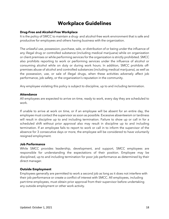# **Workplace Guidelines**

#### **Drug-Free and Alcohol-Free Workplace**

It is the policy of SMCC to maintain a drug- and alcohol-free work environment that is safe and productive for employees and others having business with the organization.

The unlawful use, possession, purchase, sale, or distribution of or being under the influence of any illegal drug or controlled substance (including medical marijuana) while on organization or client premises or while performing services for the organization is strictly prohibited. SMCC also prohibits reporting to work or performing services under the influence of alcohol or consuming alcohol while on duty or during work hours. In addition, SMCC prohibits offpremises abuse of alcohol and controlled substances (including medical marijuana), as well as the possession, use, or sale of illegal drugs, when these activities adversely affect job performance, job safety, or the organization's reputation in the community.

Any employee violating this policy is subject to discipline, up to and including termination.

#### **Attendance**

All employees are expected to arrive on time, ready to work, every day they are scheduled to work.

If unable to arrive at work on time, or if an employee will be absent for an entire day, the employee must contact the supervisor as soon as possible. Excessive absenteeism or tardiness will result in discipline up to and including termination. Failure to show up or call in for a scheduled shift without prior approval also may result in discipline up to and including termination. If an employee fails to report to work or call in to inform the supervisor of the absence for 3 consecutive days or more, the employee will be considered to have voluntarily resigned employment.

#### **Job Performance**

While SMCC provides leadership, development, and support, SMCC employees are responsible for understanding the expectations of their position. Employee may be disciplined, up to and including termination for poor job performance as determined by their direct manager.

### **Outside Employment**

Employees generally are permitted to work a second job as long as it does not interfere with their job performance or create a conflict of interest with SMCC. All employees, including part-time employees, must obtain prior approval from their supervisor before undertaking any outside employment or other work activity.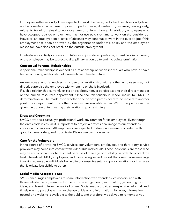Employees with a second job are expected to work their assigned schedules. A second job will not be considered an excuse for poor job performance, absenteeism, tardiness, leaving early, refusal to travel, or refusal to work overtime or different hours. In addition, employees who have accepted outside employment may not use paid sick time to work on the outside job. However, an employee on a leave of absence may continue to work in the outside job if this employment has been approved by the organization under this policy and the employee's reason for leave does not preclude the outside employment.

If outside work activity causes or contributes to job-related problems, it must be discontinued, or the employee may be subject to disciplinary action up to and including termination.

### **Consensual Personal Relationships**

A "personal relationship" is defined as a relationship between individuals who have or have had a continuing relationship of a romantic or intimate nature.

An employee who is involved in a personal relationship with another employee may not directly supervise the employee with whom he or she is involved.

If such a relationship currently exists or develops, it must be disclosed to their direct manager or the human resources department. Once the relationship is made known to SMCC, a determination will be made as to whether one or both parties need to be moved to another position or department. If no other positions are available within SMCC, the parties will be given the option of terminating their relationship or resigning.

### **Dress and Grooming**

SMCC provides a casual yet professional work environment for its employees. Even though the dress code is casual, it is important to project a professional image to our attendees, visitors, and coworkers. All employees are expected to dress in a manner consistent with good hygiene, safety, and good taste. Please use common sense.

### **Care for the Vulnerable**

In the course of providing SMCC services, our volunteers, employees, and third-party service providers may come into contact with vulnerable individuals. These individuals are those who may be at risk of harm or harassment because of their age or disability. In order to protect the best interests of SMCC, employees, and those being served, we ask that one-on-one meetings involving vulnerable individuals be held in business-like settings, public locations, or in an area that is private but visible to others.

### **Social Media Acceptable Use**

SMCC encourages employees to share information with attendees, coworkers, and with those outside the organization for the purposes of gathering information, generating new ideas, and learning from the work of others. Social media provides inexpensive, informal, and timely ways to participate in an exchange of ideas and information. However, information posted on a website is available to the public, and therefore, we ask you to remember you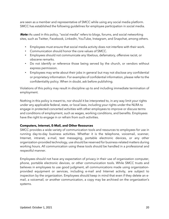are seen as a member and representative of SMCC while using any social media platform. SMCC has established the following guidelines for employee participation in social media.

**Note:** As used in this policy, "social media" refers to blogs, forums, and social networking sites, such as Twitter, Facebook, LinkedIn, YouTube, Instagram, and Snapchat, among others.

- Employees must ensure that social media activity does not interfere with their work.
- Communication should honor the core values of SMCC.
- Employees should not communicate any libelous, defamatory, offensive racist, or obscene remarks.
- Do not identify or reference those being served by the church, or vendors without express permission.
- Employees may write about their jobs in general but may not disclose any confidential or proprietary information. For examples of confidential information, please refer to the confidentiality policy. When in doubt, ask before publishing.

Violations of this policy may result in discipline up to and including immediate termination of employment.

Nothing in this policy is meant to, nor should it be interpreted to, in any way limit your rights under any applicable federal, state, or local laws, including your rights under the NLRA to engage in protected concerted activities with other employees to improve or discuss terms and conditions of employment, such as wages, working conditions, and benefits. Employees have the right to engage in or refrain from such activities.

#### **Computers, Internet, E-Mail, and Other Resources**

SMCC provides a wide variety of communication tools and resources to employees for use in running day-to-day business activities. Whether it is the telephone, voicemail, scanner, Internet, intranet, e-mail, text messaging, portable electronic devices, or any other organization-provided technology, use should be reserved for business-related matters during working hours. All communication using these tools should be handled in a professional and respectful manner.

Employees should not have any expectation of privacy in their use of organization computer, phone, portable electronic devices, or other communication tools. While SMCC trusts and believes in employees to use good judgment, all communications made using organizationprovided equipment or services, including e-mail and Internet activity, are subject to inspection by the organization. Employees should keep in mind that even if they delete an email, a voicemail, or another communication, a copy may be archived on the organization's systems.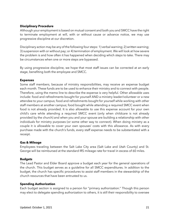### **Disciplinary Procedure**

Although your employment is based on mutual consent and both you and SMCC have the right to terminate employment at will, with or without cause or advance notice, we may use progressive discipline at our discretion.

Disciplinary action may be any of the following four steps: 1) verbal warning; 2) written warning; 3) suspension with or without pay; or 4) termination of employment. We will look at how severe the problem is and how often it has happened when deciding which steps to take. There may be circumstances when one or more steps are bypassed.

By using progressive discipline, we hope that most staff issues can be corrected at an early stage, benefiting both the employee and SMCC.

### **Expenses**

Some staff members, because of ministry responsibilities, may receive an expense budget each month. These funds are to be used to enhance their ministry and to connect with people. Therefore, using the memo line to describe the expense is very helpful. Other allowable uses include: food and refreshments bought for yourself AND a ministry leader/volunteer or a new attendee to your campus; food and refreshments bought for yourself while working with other staff members at another campus; food bought while attending a required SMCC event when food is not already provided. It is also allowable to use this expense account for your own child's care while attending a required SMCC event (only when childcare is not already provided by the church) and when you and your spouse are building a relationship with other individuals for ministry purposes (or some other way to connect). When doing ministry as a couple it is allowable to cover your own spouses' costs with this allowance. As with every purchase made with the church's funds, every staff expense needs to be substantiated with a receipt.

#### **Gas & Mileage**

Employees traveling between the Salt Lake City area (Salt Lake and Utah County) and St. George will be reimbursed at the standard IRS mileage rate for travel in excess of 60 miles.

### **Budgets**

The Lead Pastor and Elder Board approve a budget each year for the general operations of the church. This budget serves as a guideline for all SMCC expenditures. In addition to the budget, the church has specific procedures to assist staff members in the stewardship of the church resources that have been entrusted to us.

### **Spending Authorization**

Each budget section is assigned to a person for "primary authorization." Though this person may elect to delegate spending authorization to others, it is still their responsibility to oversee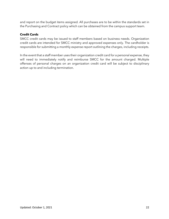and report on the budget items assigned. All purchases are to be within the standards set in the Purchasing and Contract policy which can be obtained from the campus support team.

## **Credit Cards**

SMCC credit cards may be issued to staff members based on business needs. Organization credit cards are intended for SMCC ministry and approved expenses only. The cardholder is responsible for submitting a monthly expense report outlining the charges, including receipts.

In the event that a staff member uses their organization credit card for a personal expense, they will need to immediately notify and reimburse SMCC for the amount charged. Multiple offenses of personal charges on an organization credit card will be subject to disciplinary action up to and including termination.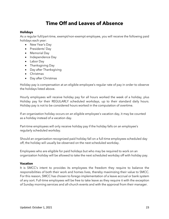# **Time Off and Leaves of Absence**

#### **Holidays**

As a regular full/part-time, exempt/non-exempt employee, you will receive the following paid holidays each year:

- New Year's Day
- Presidents' Day
- Memorial Day
- Independence Day
- Labor Day
- Thanksgiving Day
- Day after Thanksgiving
- Christmas
- Day after Christmas

Holiday pay is compensation at an eligible employee's regular rate of pay in order to observe the holidays listed above.

Hourly employees will receive holiday pay for all hours worked the week of a holiday, plus Holiday pay for their REGULARLY scheduled workdays, up to their standard daily hours. Holiday pay is not to be considered hours worked in the computation of overtime.

If an organization holiday occurs on an eligible employee's vacation day, it may be counted as a holiday instead of a vacation day.

Part-time employees will only receive holiday pay if the holiday falls on an employee's regularly scheduled workday.

Should an organization-recognized paid holiday fall on a full-time employees scheduled day off, the holiday will usually be observed on the next scheduled workday.

Employees who are eligible for paid holidays but who may be required to work on an organization holiday will be allowed to take the next scheduled workday off with holiday pay.

### **Vacation**

It is SMCC's intent to provides its employees the freedom they require to balance the responsibilities of both their work and homes lives, thereby maximizing their value to SMCC. For this reason, SMCC has chosen to forego implementation of a leave accrual or bank system of any sort. Full-time employees will be free to take leave as they require it with the exception of Sunday morning services and all-church events and with the approval from their manager.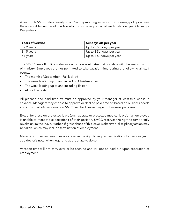As a church, SMCC relies heavily on our Sunday morning services. The following policy outlines the acceptable number of Sundays which may be requested off each calendar year (January – December).

| <b>Years of Service</b> | Sundays off per year     |
|-------------------------|--------------------------|
| $0 - 2$ years           | Up to 2 Sundays per year |
| $3 - 5$ years           | Up to 3 Sundays per year |
| 5+ years                | Up to 4 Sundays per year |

The SMCC time off policy is also subject to blackout dates that correlate with the yearly rhythm of ministry. Employees are not permitted to take vacation time during the following all staff events.

- The month of September Fall kick-off
- The week leading up to and including Christmas Eve
- The week leading up to and including Easter
- All staff retreats

All planned and paid time off must be approved by your manager at least two weeks in advance. Managers may choose to approve or decline paid time off based on business needs and individual job performance. SMCC will track leave usage for business purposes.

Except for those on protected leave (such as state or protected medical leave), if an employee is unable to meet the expectations of their position, SMCC reserves the right to temporarily revoke unlimited leave. Further, if gross abuse of this leave is observed, disciplinary action may be taken, which may include termination of employment.

Managers or human resources also reserve the right to request verification of absences (such as a doctor's note) when legal and appropriate to do so.

Vacation time will not carry over or be accrued and will not be paid out upon separation of employment.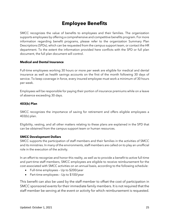# **Employee Benefits**

SMCC recognizes the value of benefits to employees and their families. The organization supports employees by offering a comprehensive and competitive benefits program. For more information regarding benefit programs, please refer to the organization Summary Plan Descriptions (SPDs), which can be requested from the campus support team, or contact the HR department. To the extent the information provided here conflicts with the SPD or full plan document, the full plan document will control.

#### **Medical and Dental Insurance**

Full-time employees working 30 hours or more per week are eligible for medical and dental insurance as well as health savings accounts on the first of the month following 30 days of service. To keep coverage in force, every insured employee must work a minimum of 30 hours per week.

Employees will be responsible for paying their portion of insurance premiums while on a leave of absence exceeding 30 days.

#### **403(b) Plan**

SMCC recognizes the importance of saving for retirement and offers eligible employees a 403(b) plan.

Eligibility, vesting, and all other matters relating to these plans are explained in the SPD that can be obtained from the campus support team or human resources.

### **SMCC Development Dollars**

SMCC supports the participation of staff members and their families in the activities of SMCC and its ministries. In many of the environments, staff members are called on to play an unofficial role in the execution of the activity.

In an effort to recognize and honor this reality, as well as to provide a benefit to active full-time and part-time staff members, SMCC employees are eligible to receive reimbursement for the cost associated with SMCC activities on an annual basis, according to the following schedule:

- Full-time employees Up to \$200/year
- Part-time employees Up to \$100/year

This benefit can also be used by the staff member to offset the cost of participation in SMCC sponsored events for their immediate family members. It is not required that the staff member be serving at the event or activity for which reimbursement is requested.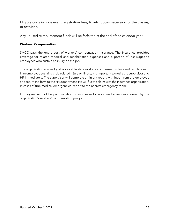Eligible costs include event registration fees, tickets, books necessary for the classes, or activities.

Any unused reimbursement funds will be forfeited at the end of the calendar year.

## **Workers' Compensation**

SMCC pays the entire cost of workers' compensation insurance. The insurance provides coverage for related medical and rehabilitation expenses and a portion of lost wages to employees who sustain an injury on the job.

The organization abides by all applicable state workers' compensation laws and regulations. If an employee sustains a job-related injury or illness, it is important to notify the supervisor and HR immediately. The supervisor will complete an injury report with input from the employee and return the form to the HR department. HR will file the claim with the insurance organization. In cases of true medical emergencies, report to the nearest emergency room.

Employees will not be paid vacation or sick leave for approved absences covered by the organization's workers' compensation program.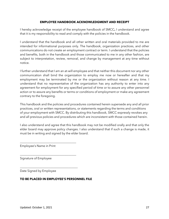#### **EMPLOYEE HANDBOOK ACKNOWLEDGMENT AND RECEIPT**

I hereby acknowledge receipt of the employee handbook of SMCC**.** I understand and agree that it is my responsibility to read and comply with the policies in the handbook.

I understand that the handbook and all other written and oral materials provided to me are intended for informational purposes only. The handbook, organization practices, and other communications do not create an employment contract or term. I understand that the policies and benefits, both in the handbook and those communicated to me in any other fashion, are subject to interpretation, review, removal, and change by management at any time without notice.

I further understand that I am an at-will employee and that neither this document nor any other communication shall bind the organization to employ me now or hereafter and that my employment may be terminated by me or the organization without reason at any time. I understand that no representative of the organization has any authority to enter into any agreement for employment for any specified period of time or to assure any other personnel action or to assure any benefits or terms or conditions of employment or make any agreement contrary to the foregoing.

This handbook and the policies and procedures contained herein supersede any and all prior practices, oral or written representations, or statements regarding the terms and conditions of your employment with SMCC. By distributing this handbook, SMCC expressly revokes any and all previous policies and procedures which are inconsistent with those contained herein.

I also understand and agree that this handbook may not be modified orally and that only the elder board may approve policy changes. I also understand that if such a change is made, it must be in writing and signed by the elder board.

Employee's Name in Print

\_\_\_\_\_\_\_\_\_\_\_\_\_\_\_\_\_\_\_\_\_\_\_\_\_\_\_\_\_\_\_\_\_\_\_\_\_

\_\_\_\_\_\_\_\_\_\_\_\_\_\_\_\_\_\_\_\_\_\_\_\_\_\_\_\_\_\_\_\_\_\_\_\_\_

\_\_\_\_\_\_\_\_\_\_\_\_\_\_\_\_\_\_\_\_\_\_\_\_\_\_\_\_\_\_\_\_\_\_\_\_\_\_

Signature of Employee

Date Signed by Employee

### **TO BE PLACED IN EMPLOYEE'S PERSONNEL FILE**